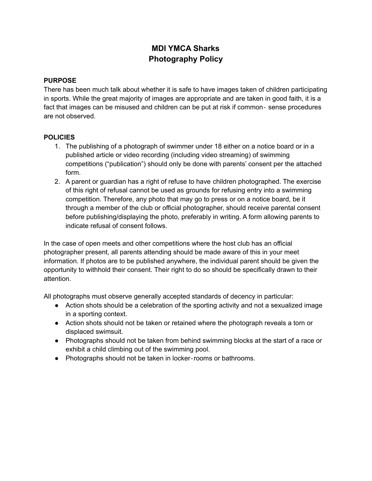## **MDI YMCA Sharks Photography Policy**

## **PURPOSE**

There has been much talk about whether it is safe to have images taken of children participating in sports. While the great majority of images are appropriate and are taken in good faith, it is a fact that images can be misused and children can be put at risk if common- sense procedures are not observed.

## **POLICIES**

- 1. The publishing of a photograph of swimmer under 18 either on a notice board or in a published article or video recording (including video streaming) of swimming competitions ("publication") should only be done with parents' consent per the attached form.
- 2. A parent or guardian has a right of refuse to have children photographed. The exercise of this right of refusal cannot be used as grounds for refusing entry into a swimming competition. Therefore, any photo that may go to press or on a notice board, be it through a member of the club or official photographer, should receive parental consent before publishing/displaying the photo, preferably in writing. A form allowing parents to indicate refusal of consent follows.

In the case of open meets and other competitions where the host club has an official photographer present, all parents attending should be made aware of this in your meet information. If photos are to be published anywhere, the individual parent should be given the opportunity to withhold their consent. Their right to do so should be specifically drawn to their attention.

All photographs must observe generally accepted standards of decency in particular:

- Action shots should be a celebration of the sporting activity and not a sexualized image in a sporting context.
- Action shots should not be taken or retained where the photograph reveals a torn or displaced swimsuit.
- Photographs should not be taken from behind swimming blocks at the start of a race or exhibit a child climbing out of the swimming pool.
- Photographs should not be taken in locker-rooms or bathrooms.